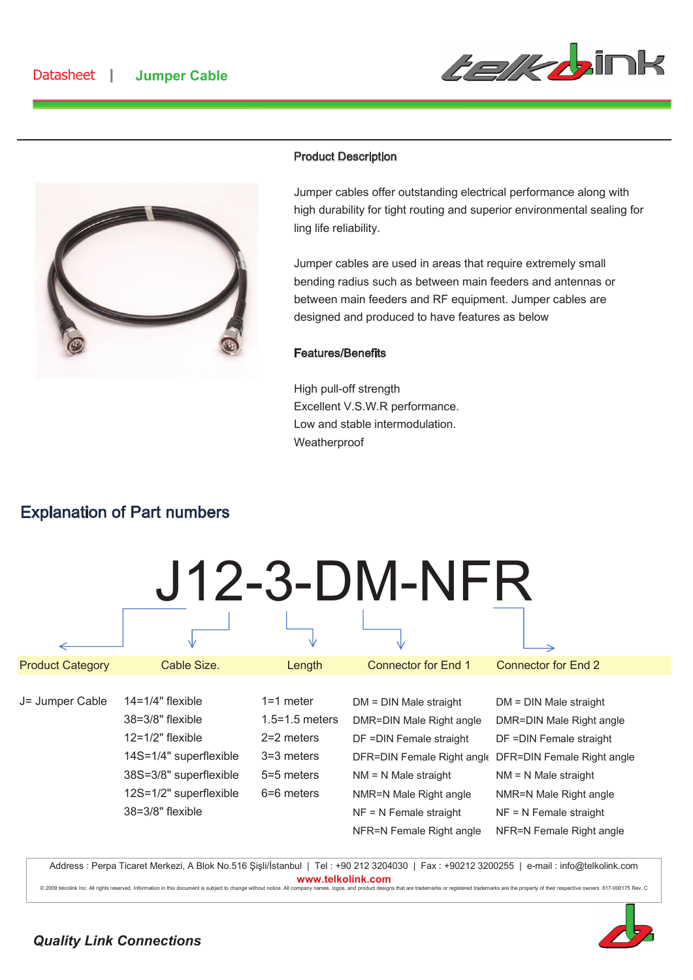



### Product Description

Jumper cables offer outstanding electrical performance along with high durability for tight routing and superior environmental sealing for ling life reliability.

Jumper cables are used in areas that require extremely small bending radius such as between main feeders and antennas or between main feeders and RF equipment. Jumper cables are designed and produced to have features as below

#### Features/Benefits

High pull-off strength Excellent V.S.W.R performance. Low and stable intermodulation. **Weatherproof** 

## Explanation of Part numbers

J12-3-DM-NFR

| <b>Product Category</b> | Cable Size.                                                                                                                                                                 | Length                                                                                        | <b>Connector for End 1</b>                                                                                                                                                                   | <b>Connector for End 2</b>                                                                                                                                                                                                                            |
|-------------------------|-----------------------------------------------------------------------------------------------------------------------------------------------------------------------------|-----------------------------------------------------------------------------------------------|----------------------------------------------------------------------------------------------------------------------------------------------------------------------------------------------|-------------------------------------------------------------------------------------------------------------------------------------------------------------------------------------------------------------------------------------------------------|
| J= Jumper Cable         | $14 = 1/4"$ flexible<br>$38 = 3/8"$ flexible<br>$12 = 1/2$ " flexible<br>14S=1/4" superflexible<br>38S=3/8" superflexible<br>12S=1/2" superflexible<br>$38 = 3/8"$ flexible | $1=1$ meter<br>$1.5 = 1.5$ meters<br>$2=2$ meters<br>$3=3$ meters<br>5=5 meters<br>6=6 meters | $DM = DIN$ Male straight<br>DMR=DIN Male Right angle<br>DF = DIN Female straight<br>$NM = N$ Male straight<br>NMR=N Male Right angle<br>$NF = N$ Female straight<br>NFR=N Female Right angle | $DM = DIN$ Male straight<br>DMR=DIN Male Right angle<br>DF = DIN Female straight<br>DFR=DIN Female Right angle DFR=DIN Female Right angle<br>$NM = N$ Male straight<br>NMR=N Male Right angle<br>$NF = N$ Female straight<br>NFR=N Female Right angle |
|                         |                                                                                                                                                                             |                                                                                               |                                                                                                                                                                                              |                                                                                                                                                                                                                                                       |

Address : Perpa Ticaret Merkezi, A Blok No.516 Şişli/İstanbul | Tel : +90 212 3204030 | Fax : +90212 3200255 | e-mail : info@telkolink.com www.telkolink.com

© 2009 telcolin k In c. All rights reserved. In formation this documen t is subject to chan ge without notice. All company names, logos, and product designs that are trademarks or registered trademarks are the property of their respective owr ners. 617-000175 Rev. C